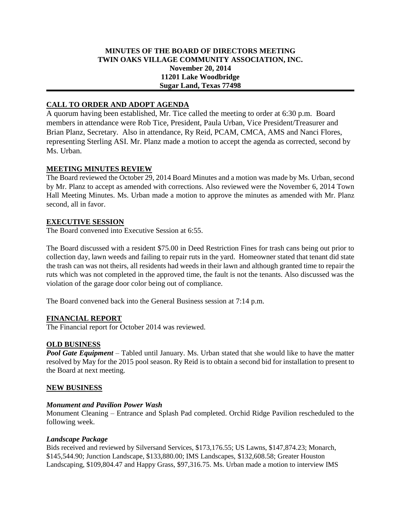# **MINUTES OF THE BOARD OF DIRECTORS MEETING TWIN OAKS VILLAGE COMMUNITY ASSOCIATION, INC. November 20, 2014 11201 Lake Woodbridge Sugar Land, Texas 77498**

# **CALL TO ORDER AND ADOPT AGENDA**

A quorum having been established, Mr. Tice called the meeting to order at 6:30 p.m. Board members in attendance were Rob Tice, President, Paula Urban, Vice President/Treasurer and Brian Planz, Secretary. Also in attendance, Ry Reid, PCAM, CMCA, AMS and Nanci Flores, representing Sterling ASI. Mr. Planz made a motion to accept the agenda as corrected, second by Ms. Urban.

# **MEETING MINUTES REVIEW**

The Board reviewed the October 29, 2014 Board Minutes and a motion was made by Ms. Urban, second by Mr. Planz to accept as amended with corrections. Also reviewed were the November 6, 2014 Town Hall Meeting Minutes. Ms. Urban made a motion to approve the minutes as amended with Mr. Planz second, all in favor.

### **EXECUTIVE SESSION**

The Board convened into Executive Session at 6:55.

The Board discussed with a resident \$75.00 in Deed Restriction Fines for trash cans being out prior to collection day, lawn weeds and failing to repair ruts in the yard. Homeowner stated that tenant did state the trash can was not theirs, all residents had weeds in their lawn and although granted time to repair the ruts which was not completed in the approved time, the fault is not the tenants. Also discussed was the violation of the garage door color being out of compliance.

The Board convened back into the General Business session at 7:14 p.m.

#### **FINANCIAL REPORT**

The Financial report for October 2014 was reviewed.

#### **OLD BUSINESS**

*Pool Gate Equipment* – Tabled until January. Ms. Urban stated that she would like to have the matter resolved by May for the 2015 pool season. Ry Reid is to obtain a second bid for installation to present to the Board at next meeting.

#### **NEW BUSINESS**

#### *Monument and Pavilion Power Wash*

Monument Cleaning – Entrance and Splash Pad completed. Orchid Ridge Pavilion rescheduled to the following week.

#### *Landscape Package*

Bids received and reviewed by Silversand Services, \$173,176.55; US Lawns, \$147,874.23; Monarch, \$145,544.90; Junction Landscape, \$133,880.00; IMS Landscapes, \$132,608.58; Greater Houston Landscaping, \$109,804.47 and Happy Grass, \$97,316.75. Ms. Urban made a motion to interview IMS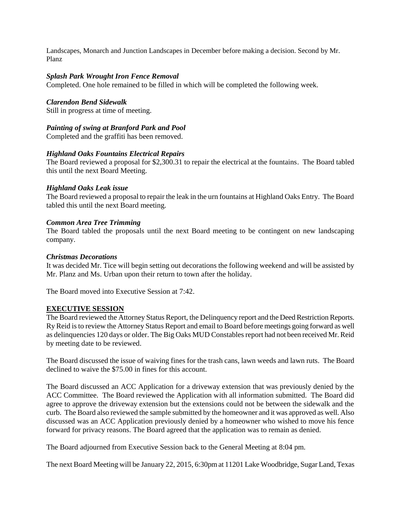Landscapes, Monarch and Junction Landscapes in December before making a decision. Second by Mr. Planz

### *Splash Park Wrought Iron Fence Removal*

Completed. One hole remained to be filled in which will be completed the following week.

#### *Clarendon Bend Sidewalk*

Still in progress at time of meeting.

### *Painting of swing at Branford Park and Pool*

Completed and the graffiti has been removed.

### *Highland Oaks Fountains Electrical Repairs*

The Board reviewed a proposal for \$2,300.31 to repair the electrical at the fountains. The Board tabled this until the next Board Meeting.

### *Highland Oaks Leak issue*

The Board reviewed a proposal to repair the leak in the urn fountains at Highland Oaks Entry. The Board tabled this until the next Board meeting.

### *Common Area Tree Trimming*

The Board tabled the proposals until the next Board meeting to be contingent on new landscaping company.

### *Christmas Decorations*

It was decided Mr. Tice will begin setting out decorations the following weekend and will be assisted by Mr. Planz and Ms. Urban upon their return to town after the holiday.

The Board moved into Executive Session at 7:42.

# **EXECUTIVE SESSION**

The Board reviewed the Attorney Status Report, the Delinquency report and the Deed Restriction Reports. Ry Reid is to review the Attorney Status Report and email to Board before meetings going forward as well as delinquencies 120 days or older. The Big Oaks MUD Constables report had not been received Mr. Reid by meeting date to be reviewed.

The Board discussed the issue of waiving fines for the trash cans, lawn weeds and lawn ruts. The Board declined to waive the \$75.00 in fines for this account.

The Board discussed an ACC Application for a driveway extension that was previously denied by the ACC Committee. The Board reviewed the Application with all information submitted. The Board did agree to approve the driveway extension but the extensions could not be between the sidewalk and the curb. The Board also reviewed the sample submitted by the homeowner and it was approved as well. Also discussed was an ACC Application previously denied by a homeowner who wished to move his fence forward for privacy reasons. The Board agreed that the application was to remain as denied.

The Board adjourned from Executive Session back to the General Meeting at 8:04 pm.

The next Board Meeting will be January 22, 2015, 6:30pm at 11201 Lake Woodbridge, Sugar Land, Texas